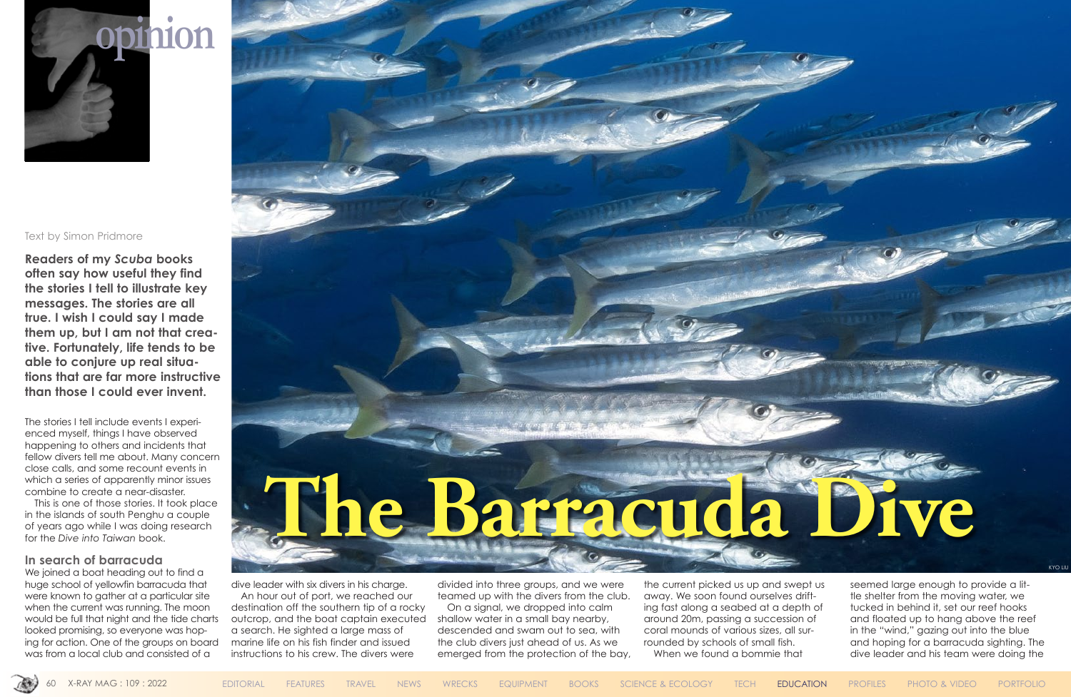#### Text by Simon Pridmore

**Readers of my** *Scuba* **books often say how useful they find the stories I tell to illustrate key messages. The stories are all true. I wish I could say I made them up, but I am not that creative. Fortunately, life tends to be able to conjure up real situations that are far more instructive than those I could ever invent.**

The stories I tell include events I experienced myself, things I have observed happening to others and incidents that fellow divers tell me about. Many concern close calls, and some recount events in which a series of apparently minor issues combine to create a near-disaster.

We joined a boat heading out to find a huge school of yellowfin barracuda that were known to gather at a particular site when the current was running. The moon would be full that night and the tide charts looked promising, so everyone was hoping for action. One of the groups on board was from a local club and consisted of a

This is one of those stories. It took place in the islands of south Penghu a couple of years ago while I was doing research for the *Dive into Taiwan* book.

### **In search of barracuda**

dive leader with six divers in his charge.

An hour out of port, we reached our destination off the southern tip of a rocky outcrop, and the boat captain executed a search. He sighted a large mass of marine life on his fish finder and issued instructions to his crew. The divers were

divided into three groups, and we were teamed up with the divers from the club.

On a signal, we dropped into calm shallow water in a small bay nearby, descended and swam out to sea, with the club divers just ahead of us. As we emerged from the protection of the bay, the current picked us up and swept us away. We soon found ourselves drifting fast along a seabed at a depth of around 20m, passing a succession of coral mounds of various sizes, all surrounded by schools of small fish. When we found a bommie that



seemed large enough to provide a little shelter from the moving water, we tucked in behind it, set our reef hooks and floated up to hang above the reef in the "wind," gazing out into the blue and hoping for a barracuda sighting. The dive leader and his team were doing the





KYO LIU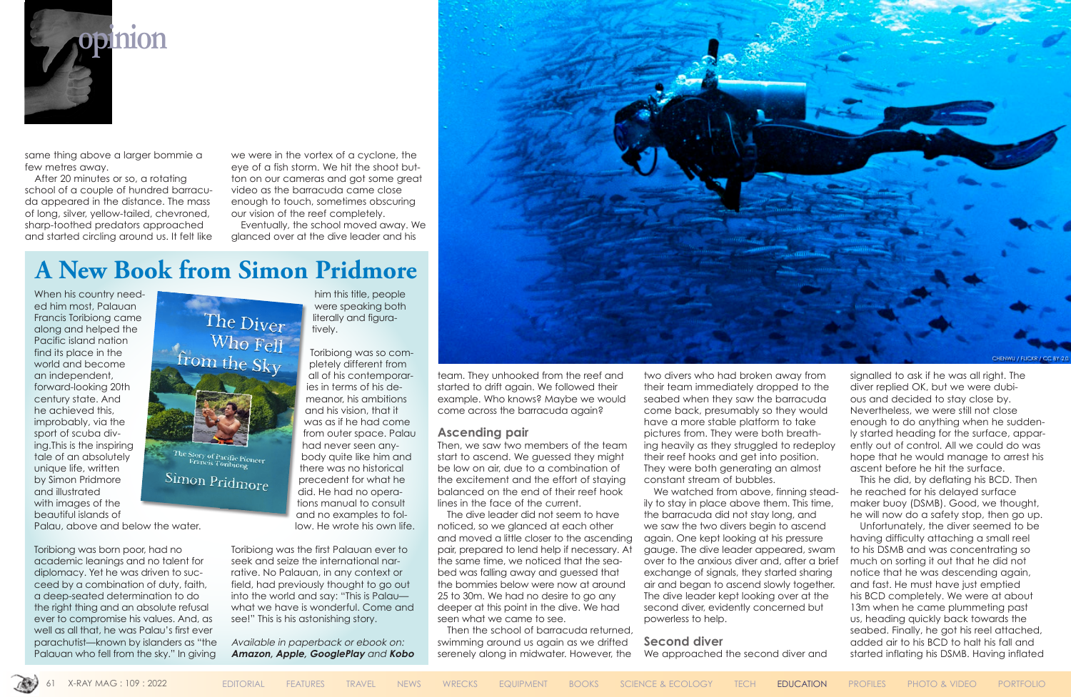

same thing above a larger bommie a few metres away.

After 20 minutes or so, a rotating school of a couple of hundred barracuda appeared in the distance. The mass of long, silver, yellow-tailed, chevroned, sharp-toothed predators approached and started circling around us. It felt like

we were in the vortex of a cyclone, the eye of a fish storm. We hit the shoot button on our cameras and got some great video as the barracuda came close enough to touch, sometimes obscuring our vision of the reef completely.

Eventually, the school moved away. We glanced over at the dive leader and his

> team. They unhooked from the reef and started to drift again. We followed their example. Who knows? Maybe we would come across the barracuda again?

### **Ascending pair**

Then, we saw two members of the team start to ascend. We guessed they might be low on air, due to a combination of the excitement and the effort of staying balanced on the end of their reef hook lines in the face of the current.

We watched from above, finning steadily to stay in place above them. This time, the barracuda did not stay long, and we saw the two divers begin to ascend again. One kept looking at his pressure gauge. The dive leader appeared, swam over to the anxious diver and, after a brief exchange of signals, they started sharing air and began to ascend slowly together. The dive leader kept looking over at the second diver, evidently concerned but powerless to help.

The dive leader did not seem to have noticed, so we glanced at each other and moved a little closer to the ascending pair, prepared to lend help if necessary. At the same time, we noticed that the seabed was falling away and guessed that the bommies below were now at around 25 to 30m. We had no desire to go any deeper at this point in the dive. We had seen what we came to see.

Then the school of barracuda returned, swimming around us again as we drifted serenely along in midwater. However, the two divers who had broken away from their team immediately dropped to the seabed when they saw the barracuda come back, presumably so they would have a more stable platform to take pictures from. They were both breathing heavily as they struggled to redeploy their reef hooks and get into position. They were both generating an almost constant stream of bubbles.

When his country needed him most, Palauan Francis Toribiong came along and helped the Pacific island nation find its place in the world and become an independent, forward-looking 20th century state. And he achieved this, improbably, via the sport of scuba diving.This is the inspiring tale of an absolutely unique life, written by Simon Pridmore and illustrated with images of the beautiful islands of

#### **Second diver**

We approached the second diver and

signalled to ask if he was all right. The diver replied OK, but we were dubious and decided to stay close by. Nevertheless, we were still not close enough to do anything when he suddenly started heading for the surface, apparently out of control. All we could do was hope that he would manage to arrest his ascent before he hit the surface.

This he did, by deflating his BCD. Then he reached for his delayed surface maker buoy (DSMB). Good, we thought, he will now do a safety stop, then go up.

Unfortunately, the diver seemed to be having difficulty attaching a small reel to his DSMB and was concentrating so much on sorting it out that he did not notice that he was descending again, and fast. He must have just emptied his BCD completely. We were at about 13m when he came plummeting past us, heading quickly back towards the seabed. Finally, he got his reel attached, added air to his BCD to halt his fall and started inflating his DSMB. Having inflated

# **A New Book from Simon Pridmore**



Toribiong was born poor, had no academic leanings and no talent for diplomacy. Yet he was driven to succeed by a combination of duty, faith, a deep-seated determination to do the right thing and an absolute refusal ever to compromise his values. And, as well as all that, he was Palau's first ever parachutist—known by islanders as "the Palauan who fell from the sky." In giving



Simon Pridmore

him this title, people were speaking both literally and figuratively.

Toribiong was so completely different from all of his contemporaries in terms of his demeanor, his ambitions and his vision, that it was as if he had come from outer space. Palau had never seen anybody quite like him and there was no historical precedent for what he did. He had no opera[tio](https://www.amazon.com/Simon-Pridmore/dp/B08BVWT9XZ/ref=sr_1_1?crid=32RO3SPMFS6P2&dchild=1&keywords=the+diver+who+fell+from+the+sky&qid=1595508022&sprefix=the+diver+who+%2Caps%2C214&sr=8-1)ns manual to consult and no examples to follow. He wrote his own life.

Toribiong was the first Palauan ever to seek and seize the international narrative. No Palauan, in any context or field, had previously thought to go out into the world and say: "This is Palau what we have is wonderful. Come and see!" This is his astonishing story.

Available in paperback or ebook on: **[Amazon,](https://www.amazon.com/Simon-Pridmore/dp/B08BVWT9XZ/ref=sr_1_1?crid=32RO3SPMFS6P2&dchild=1&keywords=the+diver+who+fell+from+the+sky&qid=1595508022&sprefix=the+diver+who+%2Caps%2C214&sr=8-1) [Apple](https://books.apple.com/us/book/id1520959772), [GooglePlay](https://play.google.com/store/books/details?id=hortDwAAQBAJ)** and **[Kobo](https://www.kobo.com/ww/en/ebook/the-diver-who-fell-from-the-sky)**